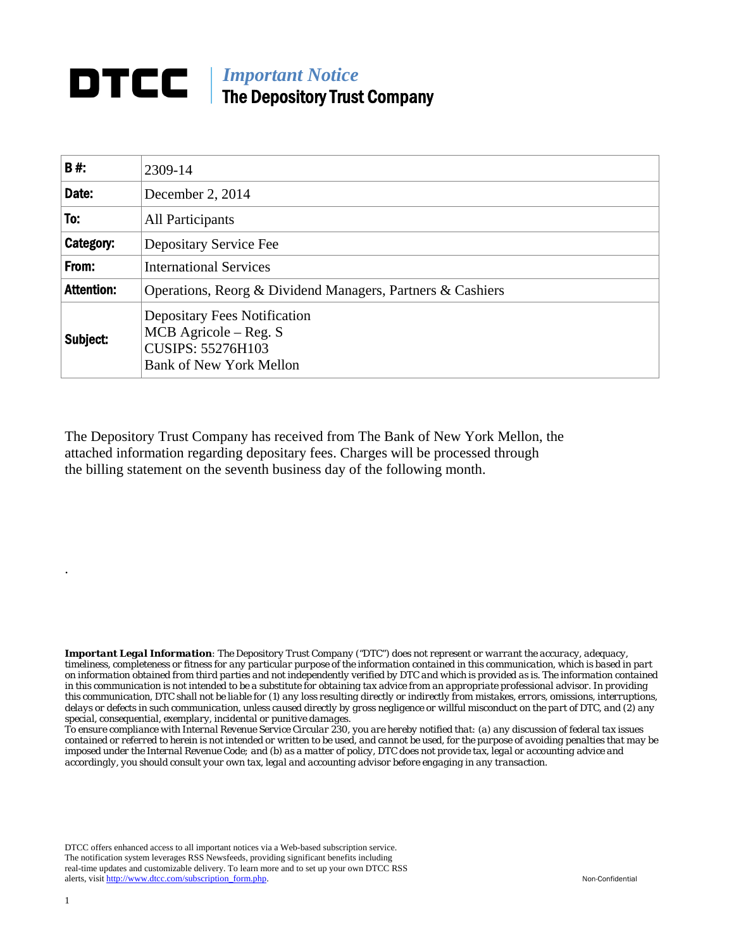## **DTCC** | *Important Notice* The Depository Trust Company

| B#:               | 2309-14                                                                                                                      |
|-------------------|------------------------------------------------------------------------------------------------------------------------------|
| Date:             | December 2, 2014                                                                                                             |
| To:               | All Participants                                                                                                             |
| Category:         | Depositary Service Fee                                                                                                       |
| From:             | <b>International Services</b>                                                                                                |
| <b>Attention:</b> | Operations, Reorg & Dividend Managers, Partners & Cashiers                                                                   |
| Subject:          | <b>Depositary Fees Notification</b><br>$MCB$ Agricole – Reg. S<br><b>CUSIPS: 55276H103</b><br><b>Bank of New York Mellon</b> |

The Depository Trust Company has received from The Bank of New York Mellon, the attached information regarding depositary fees. Charges will be processed through the billing statement on the seventh business day of the following month.

*Important Legal Information: The Depository Trust Company ("DTC") does not represent or warrant the accuracy, adequacy, timeliness, completeness or fitness for any particular purpose of the information contained in this communication, which is based in part on information obtained from third parties and not independently verified by DTC and which is provided as is. The information contained in this communication is not intended to be a substitute for obtaining tax advice from an appropriate professional advisor. In providing this communication, DTC shall not be liable for (1) any loss resulting directly or indirectly from mistakes, errors, omissions, interruptions, delays or defects in such communication, unless caused directly by gross negligence or willful misconduct on the part of DTC, and (2) any special, consequential, exemplary, incidental or punitive damages.* 

*To ensure compliance with Internal Revenue Service Circular 230, you are hereby notified that: (a) any discussion of federal tax issues contained or referred to herein is not intended or written to be used, and cannot be used, for the purpose of avoiding penalties that may be imposed under the Internal Revenue Code; and (b) as a matter of policy, DTC does not provide tax, legal or accounting advice and accordingly, you should consult your own tax, legal and accounting advisor before engaging in any transaction.*

DTCC offers enhanced access to all important notices via a Web-based subscription service. The notification system leverages RSS Newsfeeds, providing significant benefits including real-time updates and customizable delivery. To learn more and to set up your own DTCC RSS alerts, visit http://www.dtcc.com/subscription\_form.php. Non-Confidential

.